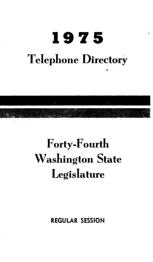# **1975 Telephone Directory**



## Forty-Fourth Washington State **Legislature**

REGULAR SESSION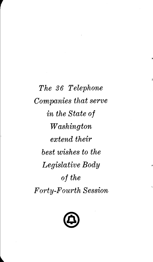*The 36 Telephone Companies that serve in the State of Washington extend their best wishes to the Legislative Body of the Forty-Fourth Session* 

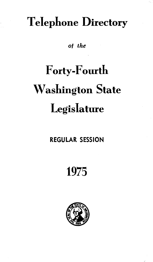## Telephone Directory

*ot the* 

# Forty-Fourth Washington State **Legislature**

### REGULAR SESSION

## 1975

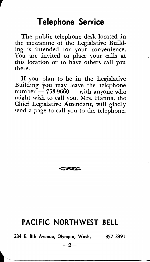### **Telephone Service**

The public telephone desk located in the mezzanine of the Legislative Building is intended for your convenience. You are invited to place your calls at this location or to have others call you there.

If you plan to be in the Legislative Building you may leave the telephone  $number - 753-9660 - with any one who$ might wish to call you. Mrs. Hanna, the Chief Legislative Attendant, will gladly send a page to call you to the telephone.



### **PACIFIC NORTHWEST BELL**

234 E. 8th Avenue, Olympia, Wash. . . .<br><sup>-2-</sup> 357-3391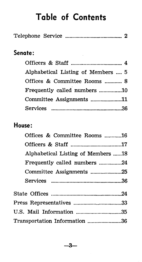### **Table of Contents**

| Telephone Service |  |  |
|-------------------|--|--|
|                   |  |  |

### **Senate:**

| Alphabetical Listing of Members  5 |  |
|------------------------------------|--|
| Offices & Committee Rooms  8       |  |
| Frequently called numbers 10       |  |
| Committee Assignments 11           |  |
|                                    |  |

### **House:**

| Offices & Committee Rooms 16       |  |
|------------------------------------|--|
|                                    |  |
| Alphabetical Listing of Members 18 |  |
|                                    |  |
| Committee Assignments 25           |  |
|                                    |  |
|                                    |  |
|                                    |  |
| U.S. Mail Information 35           |  |
| Transportation Information 36      |  |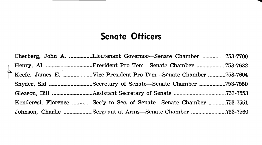### **Senate Officers**

Cherberg, John A. ................Lieutenant Governor-Senate Chamber ................753-7700 .L Henry, AI ....... -....................... P~esident. Pro Tern-Senate Chamber .................... 753-7632 f Keefe, James E ..................... V1ce President Pro Tern-Senate Chamber ·······-···753-7604 Snyder, Sid .............................. Secretary of Senate-Senate Chamber .................. 753-7550 Gleason, Bill ............................ Assistant Secretary of Senate .................................... 753-7553 Kenderesi, Florence ..............Sec'y to Sec. of Senate—Senate Chamber .............753-7551 Johnson, Charlie .................... Sergeant at Arms-Senate Chamber ........................ 753-7560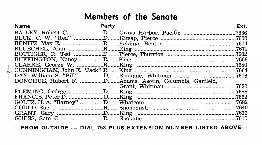### Members of the Senate

| <b>Name</b> | Party |                                                        | Ext.  |
|-------------|-------|--------------------------------------------------------|-------|
|             |       |                                                        | .7636 |
|             |       |                                                        | .7650 |
|             |       |                                                        | .7614 |
|             |       |                                                        | 7672  |
|             |       |                                                        |       |
|             |       |                                                        | .7666 |
|             |       |                                                        |       |
|             |       |                                                        |       |
|             |       |                                                        | .7606 |
|             |       | DONOHUE, Hubert F. DAdams, Asotin, Columbia, Garfield, |       |
|             |       |                                                        | .7620 |
|             |       |                                                        | .7688 |
|             |       |                                                        | .7662 |
|             |       |                                                        | 7682  |
|             |       |                                                        | 7640  |
|             |       |                                                        |       |
|             |       |                                                        |       |

-FROM OUTSIDE -- DIAL 753 PLUS EXTENSION NUMBER LISTED ABOVE-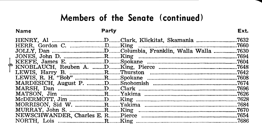### Members of the Senate (continued)

#### Name

Party

|  | .7632 |
|--|-------|
|  | .7660 |
|  | .7630 |
|  | .7694 |
|  | .7604 |
|  | 7648  |
|  | .7642 |
|  |       |
|  |       |
|  | .7696 |
|  | 7626  |
|  | .7628 |
|  | .7684 |
|  | .7670 |
|  | .7654 |
|  | .7686 |

Ext.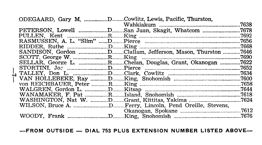|  | ODEGAARD, Gary M. DCowlitz, Lewis, Pacific, Thurston,      |       |
|--|------------------------------------------------------------|-------|
|  |                                                            | .7638 |
|  | PETERSON, Lowell DSan Juan, Skagit, Whatcom                | .7678 |
|  |                                                            | .7692 |
|  |                                                            | .7656 |
|  |                                                            | .7668 |
|  | SANDISON, Gordon DClallam, Jefferson, Mason, Thurston 7646 |       |
|  |                                                            |       |
|  | SELLAR, George L. RChelan, Douglas, Grant, Okanogan        | .7622 |
|  |                                                            | 7652  |
|  |                                                            |       |
|  |                                                            |       |
|  |                                                            |       |
|  |                                                            |       |
|  |                                                            |       |
|  |                                                            |       |
|  |                                                            |       |
|  |                                                            | .7612 |
|  |                                                            |       |

**-FROM OUTSIDE- DIAL** 753 **PLUS EXTENSION NUMBER LISTED ABOVE-**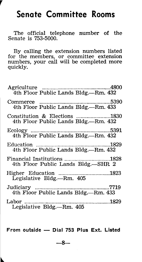### **Senate Committee Rooms**

*r* 

The official telephone number of the Senate is 753-5000.

By calling the extension numbers listed for the members, or committee extension numbers, your call will be completed more quickly.

| 4th Floor Public Lands Bldg.-Rm. 432                                  |      |
|-----------------------------------------------------------------------|------|
| 4th Floor Public Lands Bldg,—Rm. 433                                  |      |
| Constitution & Elections 1830<br>4th Floor Public Lands Bldg.—Rm. 432 |      |
| 4th Floor Public Lands Bldg.—Rm. 432                                  | 5391 |
|                                                                       |      |
| Financial Institutions 1828<br>4th Floor Public Lands Bldg.—SHR 2     |      |
| Legislative Bldg.—Rm. 405                                             |      |
| 4th Floor Public Lands Bldg,—Rm. 433                                  |      |
| Legislative Bldg.-Rm. 405                                             |      |
|                                                                       |      |

**From** outside - **Dial 753 Plus Ext. Listed** 

 $-8-$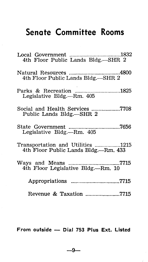### **Senate Committee Rooms**

| 1832<br>Local Government<br>4th Floor Public Lands Bldg.-SHR 2            |
|---------------------------------------------------------------------------|
| 4th Floor Public Lands Bldg.-SHR 2                                        |
| Parks & Recreation 1825<br>Legislative Bldg.—Rm. 405                      |
| Social and Health Services 7708<br>Public Lands Bldg.—SHR 2               |
|                                                                           |
| Transportation and Utilities 1215<br>4th Floor Public Lands Bldg.—Rm. 433 |
| 4th Floor Legislative Bldg.—Rm. 10                                        |
| Appropriations 7715                                                       |
| Revenue & Taxation 7715                                                   |

From outside - Dial 753 Plus Ext. Listed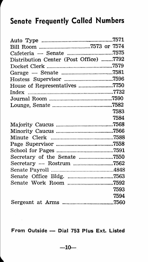### **Senate Frequently Called Numbers**

| Cafeteria - Senate 7575                |      |
|----------------------------------------|------|
| Distribution Center (Post Office) 7792 |      |
|                                        |      |
|                                        |      |
|                                        |      |
| House of Representatives 7750          |      |
|                                        |      |
|                                        |      |
|                                        |      |
|                                        | 7583 |
|                                        | 7584 |
|                                        |      |
|                                        |      |
|                                        |      |
|                                        |      |
|                                        |      |
| Secretary of the Senate 7550           |      |
|                                        |      |
|                                        |      |
|                                        |      |
|                                        |      |
|                                        | 7593 |
|                                        | 7594 |
|                                        |      |
|                                        |      |

**From Outside - Dial 753 Plus Ext. Listed**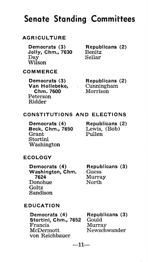### AGRICULTURE

Democrats (3) Jolly, Chm., 7630 Day Wilson

Republicans (2) Benitz Sellar

#### COMMERCE

Democrats (3) Van Hollebeke, Chm. 7600 Peterson Ridder

Republicans (2) Cunningham Morrison

#### CONSTITUTIONS AND ELECTIONS

Democrats (4) Beck, Chm., 7650 Grant Stortini Washington

Republicans (2) Lewis, (Bob) Pullen

#### ECOLOGY

Democrats (4) Washington, Chm. 7624 Donohue **Goltz** Sandison

Republicans (3) **Guess** Murray North

#### EDUCATION

Democrats (4) Stortini, Chm., 7652 Francis **McDermott** von Reichbauer Republicans (3) Gould Murray Newschwander

$$
-11-
$$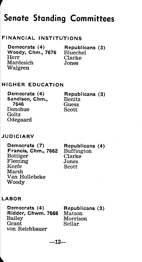#### FINANCIAL INSTITUTIONS

Democrats (4) Woody, Chm., 7676 Herr Mardesich Walgren Republicans (3) Bluechel Clarke Jones

### HIGHER EDUCATION

Democrats (4) Sandison, Chm., 7646 Donohue Goltz Odegaard

Republicans (3) Benitz **Guess** Scott

#### **JUDICIARY**

*r* 

Democrats (7) Francis, Chm., 7662 Bottiger Fleming Keefe Marsh Van Hollebeke Woody

Republicans (4) Buffington Clarke Jones Scott

#### LABOR

Democrats (4) Ridder, Chwm. 7668 Bailey Grant von Reichbauer

Republicans (3) Matson Morrison Sellar

$$
-12-
$$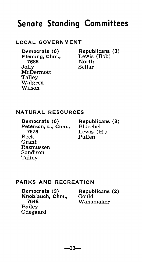#### LOCAL GOVERNMENT

Democrats (6) Fleming, Chm., 7688 Jolly McDermott Talley Walgren Wilson

Republicans (3) Lewis (Bob) North Sellar

#### NATURAL RESOURCES

Democrats (6) Peterson, L., Chm., 7678 Beck Grant Rasmussen Sandison **Talley** 

Republicans (3) Bluechel Lewis (H.) Pullen

#### PARKS AND RECREATION

Democrats (3) Knoblauch, Chm., 7648 Bailey Odegaard

Republicans (2) Gould Wanamaker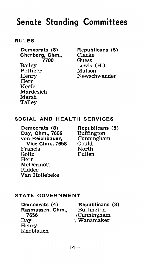#### RULES

Democrats (8) Cherberg, Chm., 7700 Bailey Bottiger **Henry** Herr Keefe Mardesich Marsh Talley

Republicans (5) Clarke Guess Lewis (H.) Matson Newschwander

#### SOCIAL AND HEALTH SERVICES

Democrats (8) Day, Chm., 7606 von Reichbauer, Vice Chm., 7658 Francis Goltz Herr McDermott Ridder Van Hollebeke

Republicans (5) Buffington Cunningham Gould North Pullen

#### STATE GOVERNMENT

Democrats (4) Rasmussen, Chm., 7656 Day Henry Knoblauch

Republicans (3) Buffington \Cunningham  $\sqrt{\text{Wanamaker}}$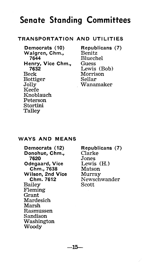#### TRANSPORTATION AND UTILITIES

Democrats (10) Walgren, Chm., 7644 Henry, Vice Chm., 7632 Beck Bottiger Jolly Keefe Knoblauch Peterson Stortini Talley

Republicans (7) Benitz Bluechel Guess Lewis (Bob) Morrison Sellar Wanamaker

#### WAYS AND MEANS

Democrats (12) Donohue, Chm., 7620 Odegaard, Vice Chm., 7638 Wilson, 2nd Vice Chm. 7612 Bailey Fleming Grant Mardesich Marsh Rasmussen Sandison Washington Woody

Republicans (7) Clarke Jones Lewis (H.) Matson Murray Newschwander Scott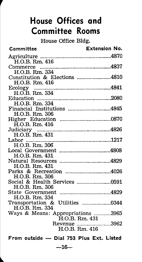### **House Offices and Committee Rooms**

House Office Bldg.

| H.O.B. Rm. 416<br>H.O.B. Rm. 334<br>Constitution & Elections 4810<br>H.O.B. Rm. 416<br>H.O.B. Rm. 334<br>Financial Institutions 4845<br>H.O.B. Rm. 306<br>H.O.B. Rm. 416<br>Judiciary<br>Labor<br>H.O.B. Rm. 306<br>H.O.B. Rm. 431<br>H.O.B. Rm. 431<br>H.O.B. Rm. 306<br>H.O.B. Rm. 306<br>H.O.B. Rm. 334<br>Transportation & Utilities 0344<br>H.O.B. Rm. 334<br>Ways & Means: Appropriations 3965<br>H.O.B. Rm. 431<br>Revenue 3962<br>H.O.B. Rm. 416<br>From outside - Dial 753 Plus Ext. Listed | Committee | Extension No. |
|------------------------------------------------------------------------------------------------------------------------------------------------------------------------------------------------------------------------------------------------------------------------------------------------------------------------------------------------------------------------------------------------------------------------------------------------------------------------------------------------------|-----------|---------------|
|                                                                                                                                                                                                                                                                                                                                                                                                                                                                                                      |           |               |
|                                                                                                                                                                                                                                                                                                                                                                                                                                                                                                      |           |               |
|                                                                                                                                                                                                                                                                                                                                                                                                                                                                                                      |           |               |
|                                                                                                                                                                                                                                                                                                                                                                                                                                                                                                      |           |               |
|                                                                                                                                                                                                                                                                                                                                                                                                                                                                                                      |           |               |
|                                                                                                                                                                                                                                                                                                                                                                                                                                                                                                      |           |               |
|                                                                                                                                                                                                                                                                                                                                                                                                                                                                                                      |           |               |
|                                                                                                                                                                                                                                                                                                                                                                                                                                                                                                      |           |               |
|                                                                                                                                                                                                                                                                                                                                                                                                                                                                                                      |           |               |
|                                                                                                                                                                                                                                                                                                                                                                                                                                                                                                      |           |               |
|                                                                                                                                                                                                                                                                                                                                                                                                                                                                                                      |           |               |
|                                                                                                                                                                                                                                                                                                                                                                                                                                                                                                      |           |               |
|                                                                                                                                                                                                                                                                                                                                                                                                                                                                                                      |           |               |
|                                                                                                                                                                                                                                                                                                                                                                                                                                                                                                      |           |               |
|                                                                                                                                                                                                                                                                                                                                                                                                                                                                                                      |           |               |
|                                                                                                                                                                                                                                                                                                                                                                                                                                                                                                      |           |               |
|                                                                                                                                                                                                                                                                                                                                                                                                                                                                                                      |           |               |
|                                                                                                                                                                                                                                                                                                                                                                                                                                                                                                      |           |               |
|                                                                                                                                                                                                                                                                                                                                                                                                                                                                                                      |           |               |
|                                                                                                                                                                                                                                                                                                                                                                                                                                                                                                      |           |               |
|                                                                                                                                                                                                                                                                                                                                                                                                                                                                                                      |           |               |
|                                                                                                                                                                                                                                                                                                                                                                                                                                                                                                      |           |               |
|                                                                                                                                                                                                                                                                                                                                                                                                                                                                                                      |           |               |
|                                                                                                                                                                                                                                                                                                                                                                                                                                                                                                      |           |               |
|                                                                                                                                                                                                                                                                                                                                                                                                                                                                                                      |           |               |
|                                                                                                                                                                                                                                                                                                                                                                                                                                                                                                      |           |               |
|                                                                                                                                                                                                                                                                                                                                                                                                                                                                                                      |           |               |
|                                                                                                                                                                                                                                                                                                                                                                                                                                                                                                      |           |               |
|                                                                                                                                                                                                                                                                                                                                                                                                                                                                                                      |           |               |
|                                                                                                                                                                                                                                                                                                                                                                                                                                                                                                      |           |               |
|                                                                                                                                                                                                                                                                                                                                                                                                                                                                                                      |           |               |
|                                                                                                                                                                                                                                                                                                                                                                                                                                                                                                      |           |               |
|                                                                                                                                                                                                                                                                                                                                                                                                                                                                                                      |           |               |
|                                                                                                                                                                                                                                                                                                                                                                                                                                                                                                      | —16—      |               |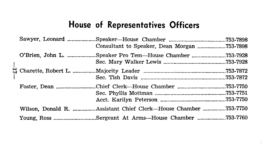### **House of Representatives Officers**

| Sawyer, Leonard           |                                                                |           |
|---------------------------|----------------------------------------------------------------|-----------|
| O'Brien, John L.          | Speaker Pro Tem—House Chamber 753-7928.                        |           |
| $\Xi$ Charette, Robert L. |                                                                |           |
|                           | Foster, Dean Chief Clerk—House Chamber                         | .753-7750 |
|                           | Wilson, Donald R. Assistant Chief Clerk—House Chamber 753-7750 |           |
|                           | Young, Ross Sergeant At Arms—House Chamber 753-7760            |           |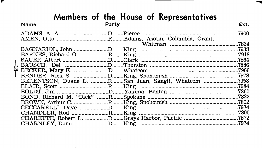### Members of the House of Representatives

▼

| X.<br>BERENTSON, Duane L. RSan Juan, Skagit, Whatcom 7958 | Ext.  |
|-----------------------------------------------------------|-------|
|                                                           | .7900 |
|                                                           |       |
|                                                           | .7834 |
|                                                           |       |
|                                                           |       |
|                                                           |       |
|                                                           |       |
|                                                           |       |
|                                                           |       |
|                                                           |       |
|                                                           |       |
|                                                           |       |
|                                                           |       |
|                                                           |       |
|                                                           |       |
|                                                           |       |
|                                                           |       |
|                                                           |       |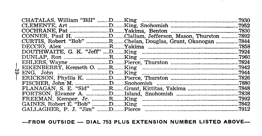|              |  |                                                        | .7930 |
|--------------|--|--------------------------------------------------------|-------|
|              |  |                                                        | .7952 |
|              |  |                                                        | .7830 |
|              |  |                                                        |       |
|              |  | CURTIS, Robert "Bob" RChelan, Douglas, Grant, Okanogan | 7844  |
|              |  |                                                        | .7858 |
|              |  |                                                        |       |
|              |  |                                                        |       |
|              |  |                                                        |       |
|              |  |                                                        |       |
|              |  |                                                        |       |
| $\mathbf{I}$ |  |                                                        |       |
|              |  |                                                        | .7880 |
|              |  |                                                        |       |
|              |  |                                                        | .7838 |
|              |  |                                                        |       |
|              |  |                                                        |       |
|              |  |                                                        | .7912 |

 $\cdot$ 

-FROM OUTSIDE - DIAL 753 PLUS EXTENSION NUMBER LISTED ABOVE-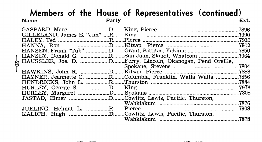### **Members of the House of Representatives (continued)**<br>Name Ext. **Name Party Ext.**

|  |                                                                         | .7896 |
|--|-------------------------------------------------------------------------|-------|
|  |                                                                         | .7990 |
|  |                                                                         | .7910 |
|  |                                                                         | .7902 |
|  |                                                                         |       |
|  | HANSEY, Donald G. RSan Juan, Skagit, Whatcom                            | .7964 |
|  | $\downarrow$ HAUSSLER, Joe. D. DFerry, Lincoln, Okanogan, Pend Oreille, |       |
|  |                                                                         | .7804 |
|  |                                                                         |       |
|  | HAYNER, Jeannette C. RColumbia, Franklin, Walla Walla 7856              |       |
|  |                                                                         | 7884  |
|  |                                                                         |       |
|  |                                                                         | .7808 |
|  |                                                                         |       |
|  |                                                                         | .7876 |
|  |                                                                         | .7908 |
|  |                                                                         |       |
|  |                                                                         | .7878 |
|  |                                                                         |       |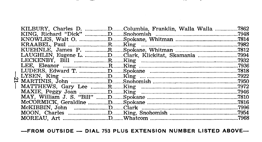KILBURY, Charles D. ................D........Columbia, Franklin, Walla Walla .................7862 LUDERS, Edward T. Communication and T. Communication and T. Communication and T. Communication and T. Communication and T. Communication and T. Communication and T. Communication and T. Communication and T. Communication a 심 

-FROM OUTSIDE - DIAL 753 PLUS EXTENSION NUMBER LISTED ABOVE-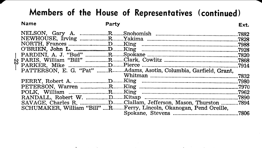### Members of the House of Representatives (continued)

#### **Name**

### Party

the company's company's company's

|  |                                                                    | .7882 |
|--|--------------------------------------------------------------------|-------|
|  |                                                                    |       |
|  |                                                                    | .7988 |
|  |                                                                    |       |
|  |                                                                    |       |
|  |                                                                    |       |
|  |                                                                    | 7914  |
|  | PATTERSON, E. G. "Pat" RAdams, Asotin, Columbia, Garfield, Grant.  |       |
|  |                                                                    | .7832 |
|  |                                                                    |       |
|  |                                                                    |       |
|  |                                                                    |       |
|  |                                                                    |       |
|  | SAVAGE, Charles R. DClallam, Jefferson, Mason, Thurston 7894       |       |
|  | SCHUMAKER, William "Bill" RFerry, Lincoln, Okanogan, Pend Oreille, |       |
|  |                                                                    | .7806 |
|  |                                                                    |       |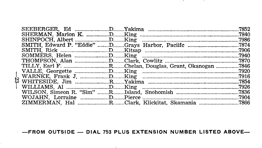|  |  | .7852 |
|--|--|-------|
|  |  | .7840 |
|  |  | .7986 |
|  |  | .7874 |
|  |  | .7906 |
|  |  | .7940 |
|  |  |       |
|  |  |       |
|  |  |       |
|  |  | 7916  |
|  |  |       |
|  |  | .7926 |
|  |  |       |
|  |  |       |
|  |  |       |

Ş

**Contract Contract** 

**STATISTICS** 

-FROM OUTSIDE - DIAL 753 PLUS EXTENSION NUMBER LISTED ABOVE-

and the company of the com-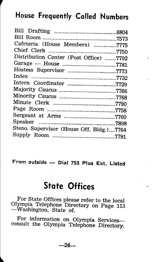### **House Frequently Called Numbers**

| Cafeteria (House Members) 7775           |  |
|------------------------------------------|--|
|                                          |  |
| Distribution Center (Post Office) 7792   |  |
|                                          |  |
| Hostess Supervisor 7773                  |  |
|                                          |  |
|                                          |  |
|                                          |  |
|                                          |  |
|                                          |  |
|                                          |  |
|                                          |  |
|                                          |  |
| Steno. Supervisor (House Off. Bldg.)7764 |  |
|                                          |  |
|                                          |  |

From outside - Dial 753 Plus Ext. **Listed** 

### **State Offices**

For State Offices please refer to the local Olympia Telephone Directory on Page 113 -Washington, State of.

For information on Olympia Servicesconsult the Olympia Telephone Directory.

-24-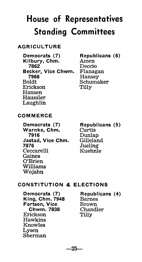### AGRICULTURE

Democrats (7) Kilbury, Chm. 7862 Becker, Vice Chwm. 7966 Boldt Erickson Hansen Haussler Laughlin

Republicans (6) Amen Deccio Flanagan Hansey Schumaker Tilly

#### COMMERCE

Democrats (7) Warnke, Chm. 7916 Jastad, Vice Chm. 7876 Ceccarelli Gaines O'Brien Williams Wojahn

Republicans (5) Curtis Dunlap **Gilleland Jueling** Kuehnle

### CONSTITUTION &. ELECTIONS

Democrats (7) King, Chm. 7948 Fortson, Vice Chwm. 7838 Erickson Hawkins Knowles Lysen Sherman

Republicans (4) Barnes Brown Chandler Tilly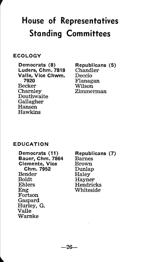#### ECOLOGY

*r* 

Democrats (8) Luders, Chm. 7818 Valle, Vice Chwm. 7920 Becker Charnley Douthwaite Gallagher Hansen Hawkins

Republicans (5) Chandler Deccio Flanagan Wilson Zimmerman

#### EDUCATION

Democrats (11) Bauer, Chm. 7864 Clemente, Vice Chm. 7952 Bender Boldt Ehlers Eng Fortson Gaspard Hurley, G. Valle Warnke

Republicans (7) Barnes Brown Dunlap **Haley** Hayner Hendricks Whiteside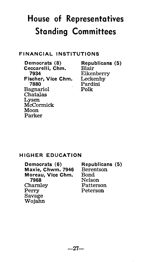### FINANCIAL INSTITUTIONS

Democrats (8) Ceccarelli, Chm. Blair 7934 Fischer, Vice Chm. scher, Vice Chm. Leckenby<br>7880 Pardini Bagnariol Chatalas Lysen McCormick Moon Parker

Republicans (5) Eikenberry Pardini Polk

#### HIGHER EDUCATION

| Democrats (6)     | Republicans (5) |  |
|-------------------|-----------------|--|
| Maxie, Chwm. 7946 | Berentson       |  |
| Moreau, Vice Chm. | Bond            |  |
| 7968              | Nelson          |  |
| Charnley          | Patterson       |  |
| Perry             | Peterson        |  |
| Savage            |                 |  |
| Wojahn            |                 |  |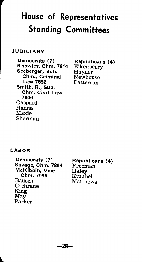#### JUDICIARY

Democrats (7) Knowles, Chm. 7814 Seeberger, Sub. Chm., Criminal Law 7852 Smith, R., Sub. Chm. Civil Law 7906 Gaspard Hanna Maxie Sherman

Republicans (4) Eikenberry Hayner Newhouse Patterson

### LABOR

Democrats (7) Savage, Chm. 7894 McKibbin, Vice Chm. 7996 Bausch Cochrane King May Parker

Republicans (4) Freeman Haley Kraabel Matthews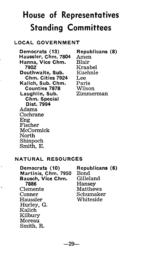#### LOCAL GOVERNMENT

Democrats (13) Haussler, Chm. 7804 Hanna, Vice Chm. 7902 Douthwaite, Sub. Chm. Cities 7924 Kalich, Sub. Chm. Counties 7878 Laughlin, Sub. Chm. Special Dist. 7994 Adams Cochrane Eng Fischer McCormick North Shinpoch Smith, E.

Republicans (8) Amen Blair Kraabel Kuehnle Lee Paris Wilson Zimmerman

#### NATURAL RESOURCES

Ą

ï

Democrats (10) Martinis, Chm. 7950 Bausch, Vice Chm. 7886 Clemente Conner Haussler Hurley, G. Kalich Kilbury Moreau Smith, R.

Republicans (6) Bond Gilleland Hansey Matthews Schumaker Whiteside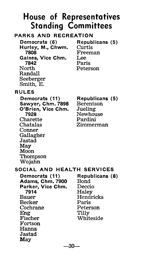### PARKS AND RECREATION

Democrats (6) Hurley, M., Chwm. 7808 Gaines, Vice Chm. 7842 North Randall Seeberger Smith, E.

Republicans (5) Curtis Freeman Lee Paris Peterson

#### RULES

Democrats (11) Sawyer, Chm. 7898 O'Brien, Vice Chm. 7928 Charette Chatalas Conner Gallagher Jastad May Moon Thompson Wojahn

Republicans (5) Berentson Jueling Newhouse Pardini Zimmerman

#### SOCIAL AND HEALTH SERVICES

Democrats (11) Adams, Chm. 7900 Parker, Vice Chm. 7914 Bauer Becker Cochrane Eng Fischer Fortson Hanna Jastad May

Republicans (8) Bond Deccio Haley Hendricks Paris Peterson Tilly Whiteside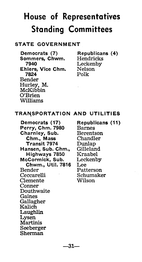### STATE GOVERNMENT

Democrats (7) Sommers, Chwm. 7940 Ehlers, Vice Chm. 7824 Bender Hurley, M. McKibbin O'Brien Williams

Republicans (4) Hendricks Leckenby Nelson Polk

#### TRANSPORTATION AND UTILITIES

Democrats (17) Perry, Chm. 7980 Charnley, Sub. Chm., Mass Transit 7974 Hansen, Sub. Chm., Highways 7850 McCormick, Sub. Chwm., Util. 7816 Bender Ceccarelli Clemente Conner Douthwaite Gaines Gallagher Kalich Laughlin Lysen Martinis Seeberger Sherman

Republicans (11) Barnes Berentson Chandler Dunlap Gilleland Kraabel Leckenby Lee Patterson Schumaker Wilson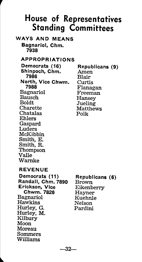### WAYS AND MEANS Bagnariol, Chm.

7938

r

### APPROPRIATIONS

Democrats (16) Shinpoch, Chm. 7986 North, Vice Chwm. 7988 Bagnariol Bausch Boldt Charette Chatalas Ehlers Gaspard Luders McKibbin Smith, E. Smith, R. Thompson Valle Warnke

#### Republicans (9) Amen Blair Curtis Flanagan Freeman Hansey **Jueling Matthews** Polk

#### REVENUE

Democrats (11) Randall, Chm. 7890 Erickson, Vice Chwm. 7826 Bagnariol Hawkins Hurley, G. Hurley, M. Kilbury Moon Moreau Sommers Williams

Republicans (6) Brown Eikenberry Hayner Kuehnle Nelson Pardini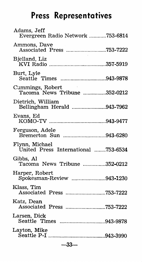### **Press Representatives**

| Adams, Jeff<br>Evergreen Radio Network 753-6814                                             |  |
|---------------------------------------------------------------------------------------------|--|
| Ammons, Dave<br>Associated Press 753-7222                                                   |  |
| Bjelland, Liz                                                                               |  |
| Burt, Lyle<br><br>Seattle Times 943-9878                                                    |  |
| $\mathcal{L}^{\text{max}}_{\text{max}}$<br>Cummings, Robert<br>Tacoma News Tribune 352-0212 |  |
| Dietrich, William<br>Bellingham Herald 943-7962                                             |  |
| Evans, Ed                                                                                   |  |
| Ferguson, Adele<br>Bremerton Sun 943-6280                                                   |  |
| Flynn, Michael<br>United Press International 753-6534                                       |  |
| Gibbs, Al<br>Tacoma News Tribune 352-0212                                                   |  |
| Harper, Robert<br>Spokesman-Review 943-1230                                                 |  |
| Klass. Tim                                                                                  |  |
| Katz. Dean                                                                                  |  |
| Larsen, Dick                                                                                |  |
| Layton, Mike                                                                                |  |
| $-33-$                                                                                      |  |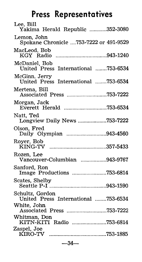## **Press Representatives**

| Lee, Bill<br>Yakima Herald Republic 352-3080           |  |
|--------------------------------------------------------|--|
| Lemon, John<br>Spokane Chronicle 753-7222 or 491-9529  |  |
| MacLeod, Bob                                           |  |
| McDaniel, Bob<br>United Press International 753-6534   |  |
| McGinn. Jerry<br>United Press International 753-6534   |  |
| Mertena, Bill<br>Associated Press 753-7222             |  |
| Morgan, Jack                                           |  |
| Natt, Ted<br>Longview Daily News 753-7222              |  |
| Olson, Fred<br>Daily Olympian 943-4560                 |  |
| Royer, Bob                                             |  |
| Rozen, Lee<br>vancouver-Columbian 943-9767             |  |
| Sanford, Ron<br>Image Productions 753-6814             |  |
| Scates, Shelby                                         |  |
| Schultz, Gordon<br>United Press International 753-6534 |  |
| White, John<br>Associated Press 753-7222               |  |
| Whitman, Don<br>KITN-KITI Radio 753-6814               |  |
| Zaspel, Joe                                            |  |

 $-34-$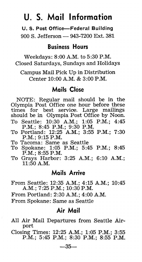### **U. S. Mail Information**

**U.S. Post Office-Federal Building** 

900 S. Jefferson - 943-7200 Ext. 381

### **Business Hours**

Weekdays: 8:00 A.M. to 5:30 P.M. Closed Saturdays, Sundays and Holidays

Campus Mail Pick Up in Distribution Center 10:00 A.M. & 3:00P.M.

### **Mails Close**

NOTE: Regular mail should be in the Olympia Post Office one hour before these times for best service. Large mailings should be in Olympia Post Office by Noon.

- To Seattle: 10:30 A.M.; 1:05 P.M.; 4:45 P.M.; 8:45 P.M.; 9:30 P.M.
- To Portland: 12:25 A.M.; 3:55 P.M.; 7:30 P.M.; 9:15P.M.
- To Tacoma: Same as Seattle
- To Spokane: 1:05 P.M.; 5:45 P.M.; 8:45 P.M.; 8:55 P.M.
- To Grays Harbor: 3:25 A.M.; 6:10 A.M.; 11:50A.M.

### **Mails Arrive**

- From Seattle: 12:35 A.M.; 4:15A.M.; 10:45 A.M.; 7:25P.M.; 10:30 P.M.
- From Portland: 2:30 A.M.; 4:00 A.M.
- From Spokane: Same as Seattle

### **Air Mail**

- All Air Mail Departures from Seattle Airport
- Closing Times: 12:25 A.M.; 1:05 P.M.; 3:55 P.M.; 5:45 P.M.; 8:30 P.M.; 8:55 P.M.